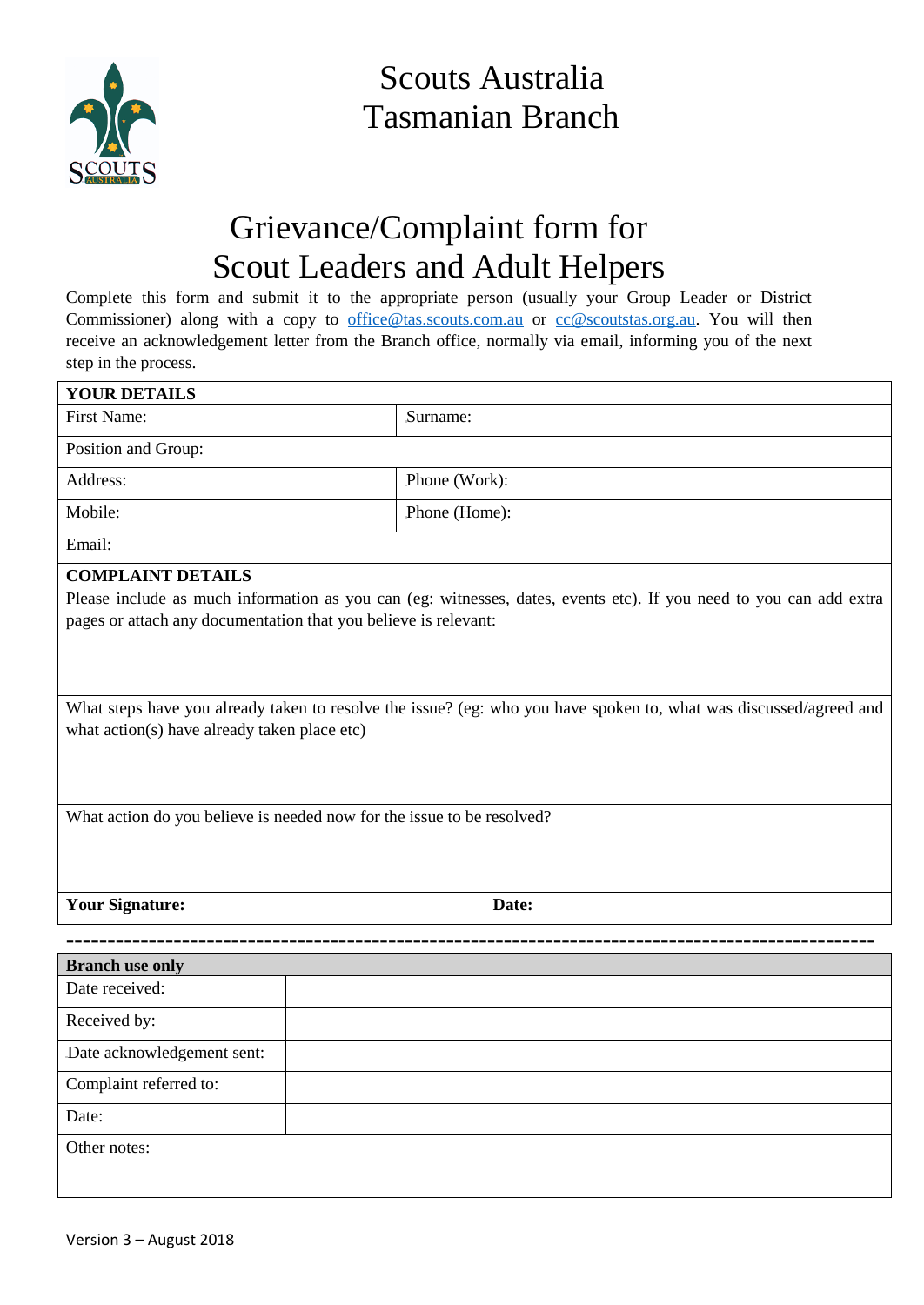

Scouts Australia Tasmanian Branch

## Grievance/Complaint form for Scout Leaders and Adult Helpers

Complete this form and submit it to the appropriate person (usually your Group Leader or District Commissioner) along with a copy to [office@tas.scouts.com.au](mailto:office@tas.scouts.com.au) or [cc@scoutstas.org.au.](mailto:cc@scoutstas.org.au) You will then receive an acknowledgement letter from the Branch office, normally via email, informing you of the next step in the process.

| <b>YOUR DETAILS</b>                                                                                                                                                |               |                                                                                                                    |  |
|--------------------------------------------------------------------------------------------------------------------------------------------------------------------|---------------|--------------------------------------------------------------------------------------------------------------------|--|
| <b>First Name:</b>                                                                                                                                                 | Surname:      |                                                                                                                    |  |
| Position and Group:                                                                                                                                                |               |                                                                                                                    |  |
| Address:                                                                                                                                                           |               | Phone (Work):                                                                                                      |  |
| Mobile:                                                                                                                                                            | Phone (Home): |                                                                                                                    |  |
| Email:                                                                                                                                                             |               |                                                                                                                    |  |
| <b>COMPLAINT DETAILS</b>                                                                                                                                           |               |                                                                                                                    |  |
| pages or attach any documentation that you believe is relevant:                                                                                                    |               | Please include as much information as you can (eg: witnesses, dates, events etc). If you need to you can add extra |  |
| What steps have you already taken to resolve the issue? (eg: who you have spoken to, what was discussed/agreed and<br>what action(s) have already taken place etc) |               |                                                                                                                    |  |
| What action do you believe is needed now for the issue to be resolved?                                                                                             |               |                                                                                                                    |  |
| <b>Your Signature:</b>                                                                                                                                             |               | Date:                                                                                                              |  |
|                                                                                                                                                                    |               |                                                                                                                    |  |
| <b>Branch use only</b>                                                                                                                                             |               |                                                                                                                    |  |
| Date received:                                                                                                                                                     |               |                                                                                                                    |  |
| Received by:                                                                                                                                                       |               |                                                                                                                    |  |
| Date acknowledgement sent:                                                                                                                                         |               |                                                                                                                    |  |
| Complaint referred to:                                                                                                                                             |               |                                                                                                                    |  |
| Date:                                                                                                                                                              |               |                                                                                                                    |  |
| Other notes:                                                                                                                                                       |               |                                                                                                                    |  |
|                                                                                                                                                                    |               |                                                                                                                    |  |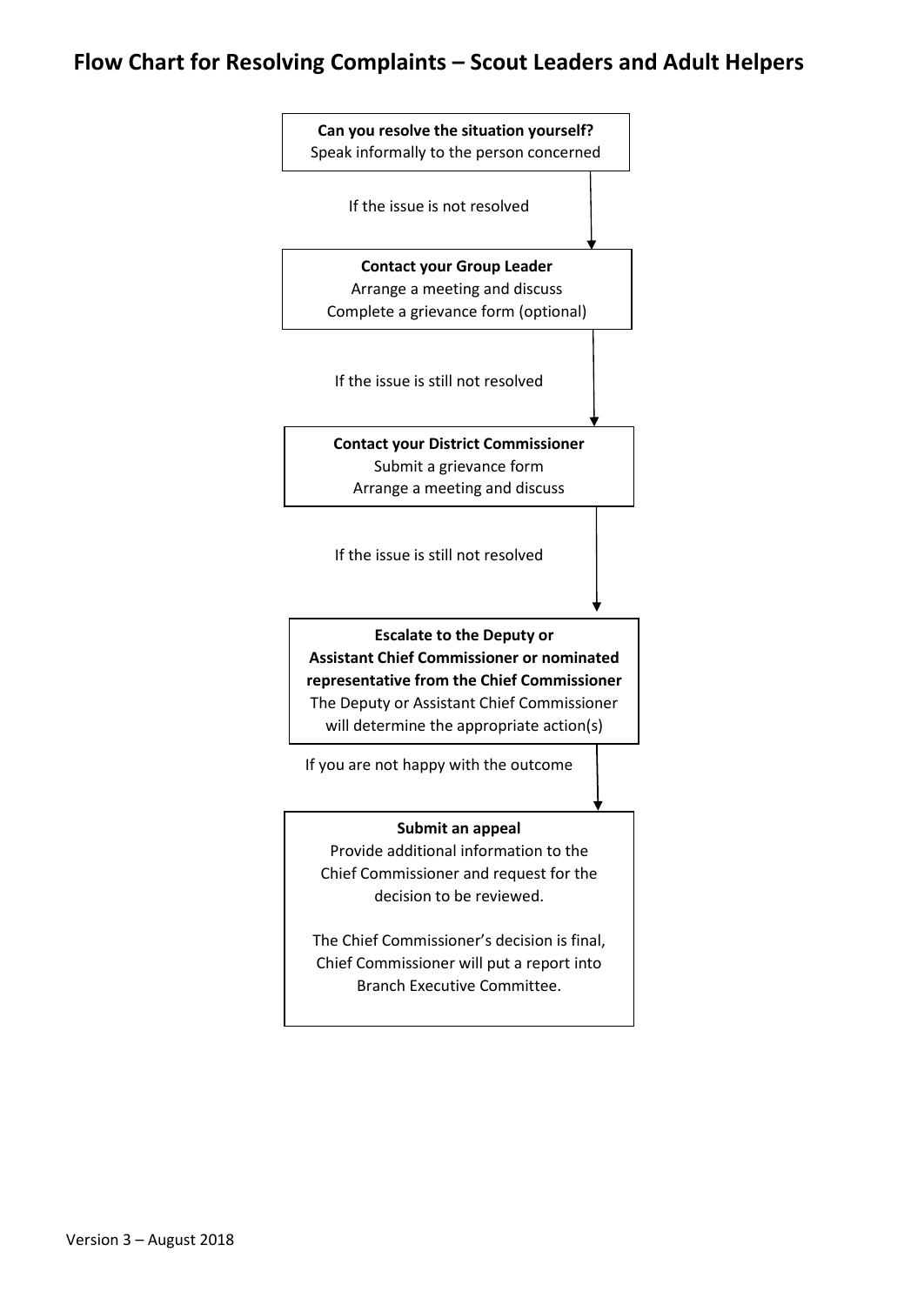## **Flow Chart for Resolving Complaints – Scout Leaders and Adult Helpers**